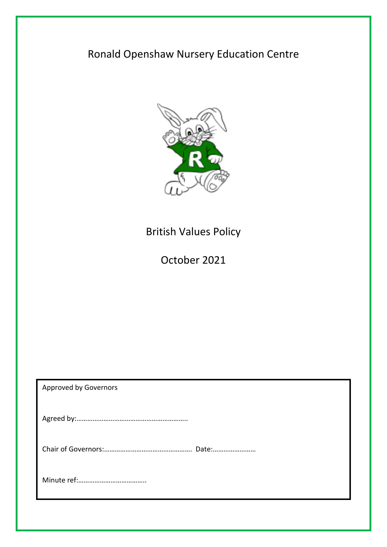# Ronald Openshaw Nursery Education Centre



# British Values Policy

October 2021

| <b>Approved by Governors</b> |  |
|------------------------------|--|
|                              |  |
|                              |  |
|                              |  |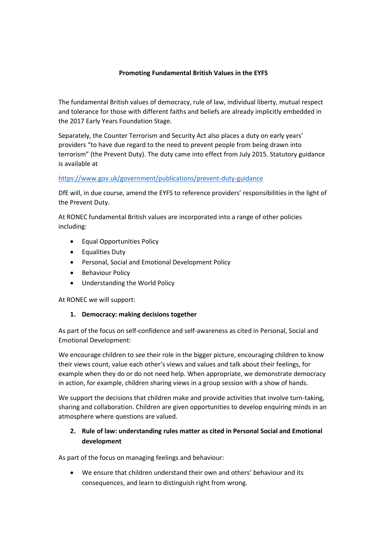#### **Promoting Fundamental British Values in the EYFS**

The fundamental British values of democracy, rule of law, individual liberty, mutual respect and tolerance for those with different faiths and beliefs are already implicitly embedded in the 2017 Early Years Foundation Stage.

Separately, the Counter Terrorism and Security Act also places a duty on early years' providers "to have due regard to the need to prevent people from being drawn into terrorism" (the Prevent Duty). The duty came into effect from July 2015. Statutory guidance is available at

#### <https://www.gov.uk/government/publications/prevent-duty-guidance>

DfE will, in due course, amend the EYFS to reference providers' responsibilities in the light of the Prevent Duty.

At RONEC fundamental British values are incorporated into a range of other policies including:

- Equal Opportunities Policy
- Equalities Duty
- Personal, Social and Emotional Development Policy
- Behaviour Policy
- Understanding the World Policy

At RONEC we will support:

#### **1. Democracy: making decisions together**

As part of the focus on self-confidence and self-awareness as cited in Personal, Social and Emotional Development:

We encourage children to see their role in the bigger picture, encouraging children to know their views count, value each other's views and values and talk about their feelings, for example when they do or do not need help. When appropriate, we demonstrate democracy in action, for example, children sharing views in a group session with a show of hands.

We support the decisions that children make and provide activities that involve turn-taking, sharing and collaboration. Children are given opportunities to develop enquiring minds in an atmosphere where questions are valued.

# **2. Rule of law: understanding rules matter as cited in Personal Social and Emotional development**

As part of the focus on managing feelings and behaviour:

 We ensure that children understand their own and others' behaviour and its consequences, and learn to distinguish right from wrong.